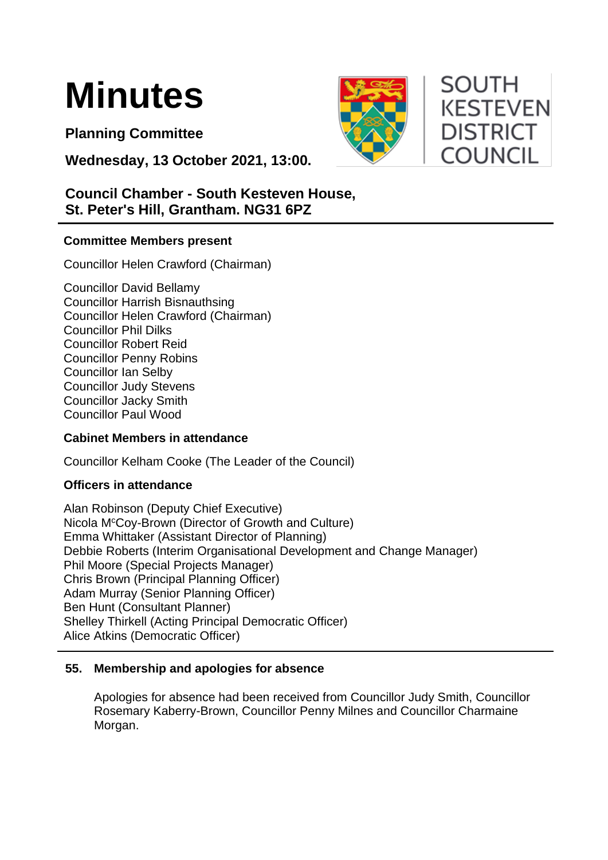

**Planning Committee**

**Wednesday, 13 October 2021, 13:00.** 

# **Council Chamber - South Kesteven House, St. Peter's Hill, Grantham. NG31 6PZ**

# **Committee Members present**

Councillor Helen Crawford (Chairman)

Councillor David Bellamy Councillor Harrish Bisnauthsing Councillor Helen Crawford (Chairman) Councillor Phil Dilks Councillor Robert Reid Councillor Penny Robins Councillor Ian Selby Councillor Judy Stevens Councillor Jacky Smith Councillor Paul Wood

#### **Cabinet Members in attendance**

Councillor Kelham Cooke (The Leader of the Council)

#### **Officers in attendance**

Alan Robinson (Deputy Chief Executive) Nicola M<sup>c</sup>Coy-Brown (Director of Growth and Culture) Emma Whittaker (Assistant Director of Planning) Debbie Roberts (Interim Organisational Development and Change Manager) Phil Moore (Special Projects Manager) Chris Brown (Principal Planning Officer) Adam Murray (Senior Planning Officer) Ben Hunt (Consultant Planner) Shelley Thirkell (Acting Principal Democratic Officer) Alice Atkins (Democratic Officer)

#### **55. Membership and apologies for absence**

Apologies for absence had been received from Councillor Judy Smith, Councillor Rosemary Kaberry-Brown, Councillor Penny Milnes and Councillor Charmaine Morgan.



# **SOUTH KESTEVEN DISTRICT COUNCIL**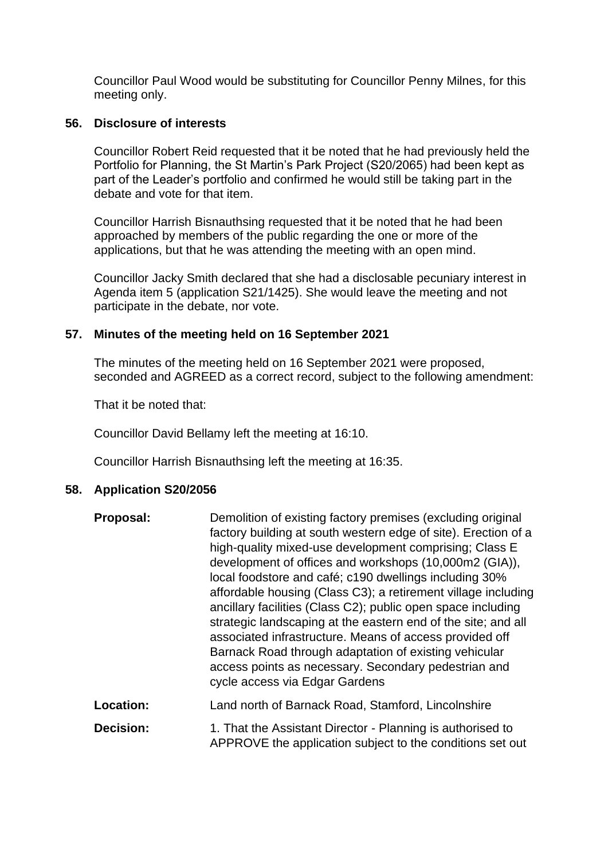Councillor Paul Wood would be substituting for Councillor Penny Milnes, for this meeting only.

#### **56. Disclosure of interests**

Councillor Robert Reid requested that it be noted that he had previously held the Portfolio for Planning, the St Martin's Park Project (S20/2065) had been kept as part of the Leader's portfolio and confirmed he would still be taking part in the debate and vote for that item.

Councillor Harrish Bisnauthsing requested that it be noted that he had been approached by members of the public regarding the one or more of the applications, but that he was attending the meeting with an open mind.

Councillor Jacky Smith declared that she had a disclosable pecuniary interest in Agenda item 5 (application S21/1425). She would leave the meeting and not participate in the debate, nor vote.

#### **57. Minutes of the meeting held on 16 September 2021**

The minutes of the meeting held on 16 September 2021 were proposed, seconded and AGREED as a correct record, subject to the following amendment:

That it be noted that:

Councillor David Bellamy left the meeting at 16:10.

Councillor Harrish Bisnauthsing left the meeting at 16:35.

#### **58. Application S20/2056**

| Proposal: | Demolition of existing factory premises (excluding original<br>factory building at south western edge of site). Erection of a<br>high-quality mixed-use development comprising; Class E<br>development of offices and workshops (10,000m2 (GIA)),<br>local foodstore and café; c190 dwellings including 30%<br>affordable housing (Class C3); a retirement village including<br>ancillary facilities (Class C2); public open space including<br>strategic landscaping at the eastern end of the site; and all<br>associated infrastructure. Means of access provided off<br>Barnack Road through adaptation of existing vehicular<br>access points as necessary. Secondary pedestrian and<br>cycle access via Edgar Gardens |
|-----------|-----------------------------------------------------------------------------------------------------------------------------------------------------------------------------------------------------------------------------------------------------------------------------------------------------------------------------------------------------------------------------------------------------------------------------------------------------------------------------------------------------------------------------------------------------------------------------------------------------------------------------------------------------------------------------------------------------------------------------|
| Location: | Land north of Barnack Road, Stamford, Lincolnshire                                                                                                                                                                                                                                                                                                                                                                                                                                                                                                                                                                                                                                                                          |
| Decision: | 1. That the Assistant Director - Planning is authorised to                                                                                                                                                                                                                                                                                                                                                                                                                                                                                                                                                                                                                                                                  |

APPROVE the application subject to the conditions set out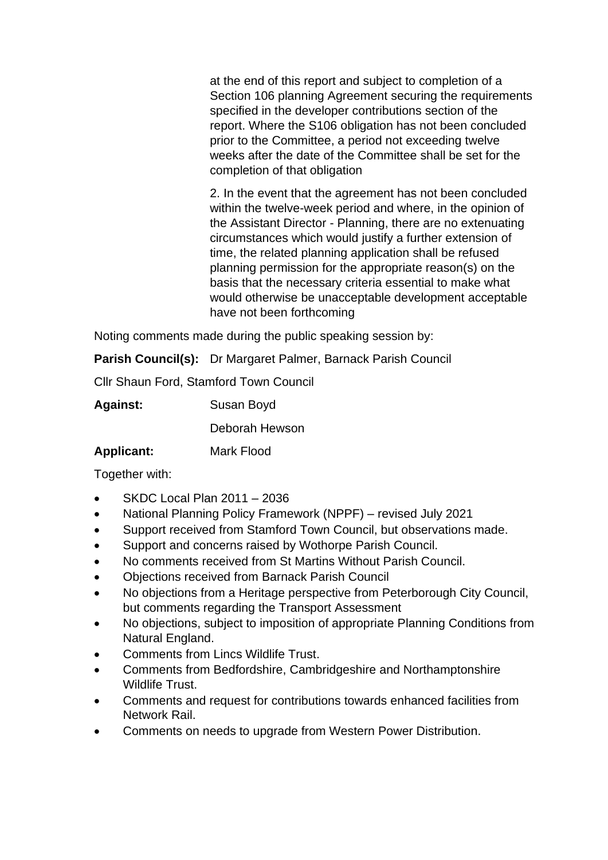at the end of this report and subject to completion of a Section 106 planning Agreement securing the requirements specified in the developer contributions section of the report. Where the S106 obligation has not been concluded prior to the Committee, a period not exceeding twelve weeks after the date of the Committee shall be set for the completion of that obligation

2. In the event that the agreement has not been concluded within the twelve-week period and where, in the opinion of the Assistant Director - Planning, there are no extenuating circumstances which would justify a further extension of time, the related planning application shall be refused planning permission for the appropriate reason(s) on the basis that the necessary criteria essential to make what would otherwise be unacceptable development acceptable have not been forthcoming

Noting comments made during the public speaking session by:

**Parish Council(s):** Dr Margaret Palmer, Barnack Parish Council

Cllr Shaun Ford, Stamford Town Council

| <b>Against:</b> | Susan Boyd |
|-----------------|------------|
|-----------------|------------|

Deborah Hewson

# **Applicant:** Mark Flood

Together with:

- SKDC Local Plan 2011 2036
- National Planning Policy Framework (NPPF) revised July 2021
- Support received from Stamford Town Council, but observations made.
- Support and concerns raised by Wothorpe Parish Council.
- No comments received from St Martins Without Parish Council.
- Objections received from Barnack Parish Council
- No objections from a Heritage perspective from Peterborough City Council, but comments regarding the Transport Assessment
- No objections, subject to imposition of appropriate Planning Conditions from Natural England.
- Comments from Lincs Wildlife Trust.
- Comments from Bedfordshire, Cambridgeshire and Northamptonshire Wildlife Trust.
- Comments and request for contributions towards enhanced facilities from Network Rail.
- Comments on needs to upgrade from Western Power Distribution.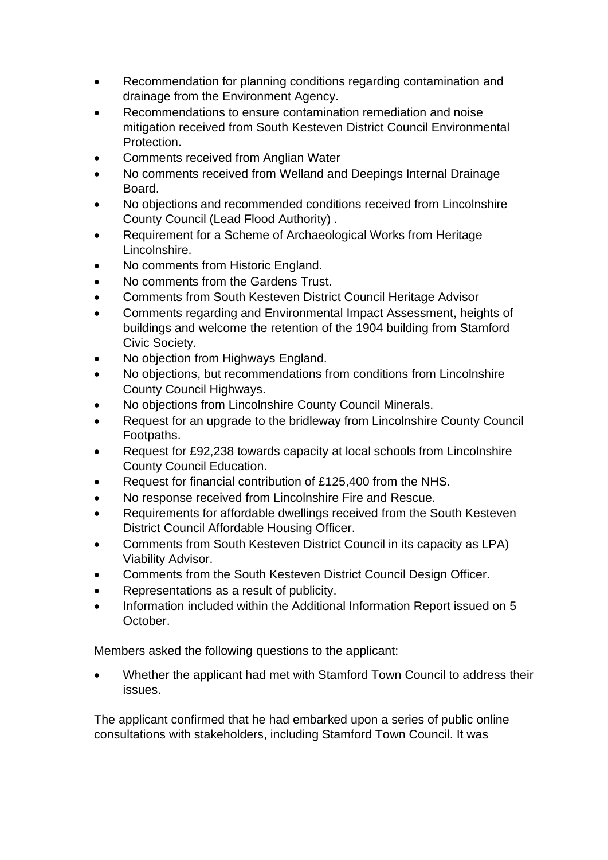- Recommendation for planning conditions regarding contamination and drainage from the Environment Agency.
- Recommendations to ensure contamination remediation and noise mitigation received from South Kesteven District Council Environmental Protection.
- Comments received from Anglian Water
- No comments received from Welland and Deepings Internal Drainage Board.
- No objections and recommended conditions received from Lincolnshire County Council (Lead Flood Authority) .
- Requirement for a Scheme of Archaeological Works from Heritage Lincolnshire.
- No comments from Historic England.
- No comments from the Gardens Trust.
- Comments from South Kesteven District Council Heritage Advisor
- Comments regarding and Environmental Impact Assessment, heights of buildings and welcome the retention of the 1904 building from Stamford Civic Society.
- No objection from Highways England.
- No objections, but recommendations from conditions from Lincolnshire County Council Highways.
- No objections from Lincolnshire County Council Minerals.
- Request for an upgrade to the bridleway from Lincolnshire County Council Footpaths.
- Request for £92,238 towards capacity at local schools from Lincolnshire County Council Education.
- Request for financial contribution of £125,400 from the NHS.
- No response received from Lincolnshire Fire and Rescue.
- Requirements for affordable dwellings received from the South Kesteven District Council Affordable Housing Officer.
- Comments from South Kesteven District Council in its capacity as LPA) Viability Advisor.
- Comments from the South Kesteven District Council Design Officer.
- Representations as a result of publicity.
- Information included within the Additional Information Report issued on 5 October.

Members asked the following questions to the applicant:

• Whether the applicant had met with Stamford Town Council to address their issues.

The applicant confirmed that he had embarked upon a series of public online consultations with stakeholders, including Stamford Town Council. It was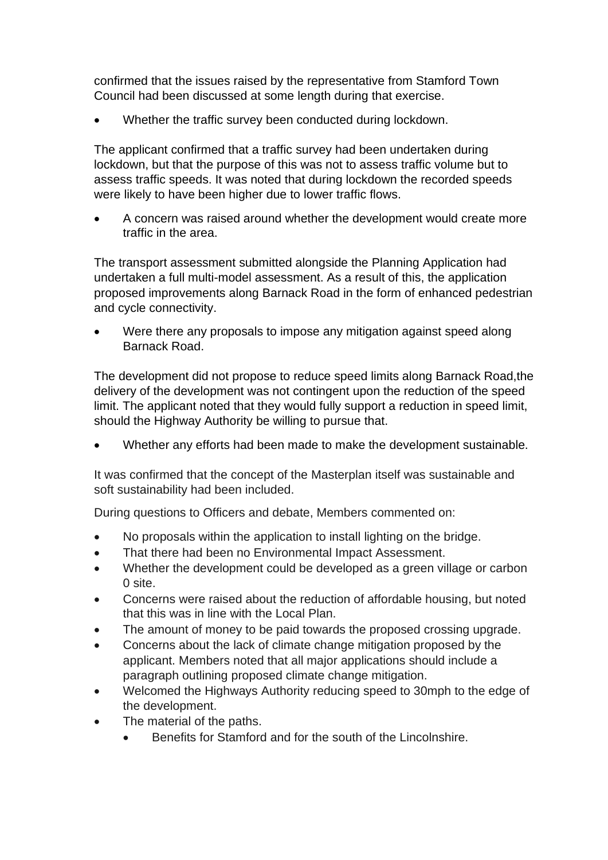confirmed that the issues raised by the representative from Stamford Town Council had been discussed at some length during that exercise.

Whether the traffic survey been conducted during lockdown.

The applicant confirmed that a traffic survey had been undertaken during lockdown, but that the purpose of this was not to assess traffic volume but to assess traffic speeds. It was noted that during lockdown the recorded speeds were likely to have been higher due to lower traffic flows.

• A concern was raised around whether the development would create more traffic in the area.

The transport assessment submitted alongside the Planning Application had undertaken a full multi-model assessment. As a result of this, the application proposed improvements along Barnack Road in the form of enhanced pedestrian and cycle connectivity.

Were there any proposals to impose any mitigation against speed along Barnack Road.

The development did not propose to reduce speed limits along Barnack Road,the delivery of the development was not contingent upon the reduction of the speed limit. The applicant noted that they would fully support a reduction in speed limit, should the Highway Authority be willing to pursue that.

• Whether any efforts had been made to make the development sustainable.

It was confirmed that the concept of the Masterplan itself was sustainable and soft sustainability had been included.

During questions to Officers and debate, Members commented on:

- No proposals within the application to install lighting on the bridge.
- That there had been no Environmental Impact Assessment.
- Whether the development could be developed as a green village or carbon 0 site.
- Concerns were raised about the reduction of affordable housing, but noted that this was in line with the Local Plan.
- The amount of money to be paid towards the proposed crossing upgrade.
- Concerns about the lack of climate change mitigation proposed by the applicant. Members noted that all major applications should include a paragraph outlining proposed climate change mitigation.
- Welcomed the Highways Authority reducing speed to 30mph to the edge of the development.
- The material of the paths.
	- Benefits for Stamford and for the south of the Lincolnshire.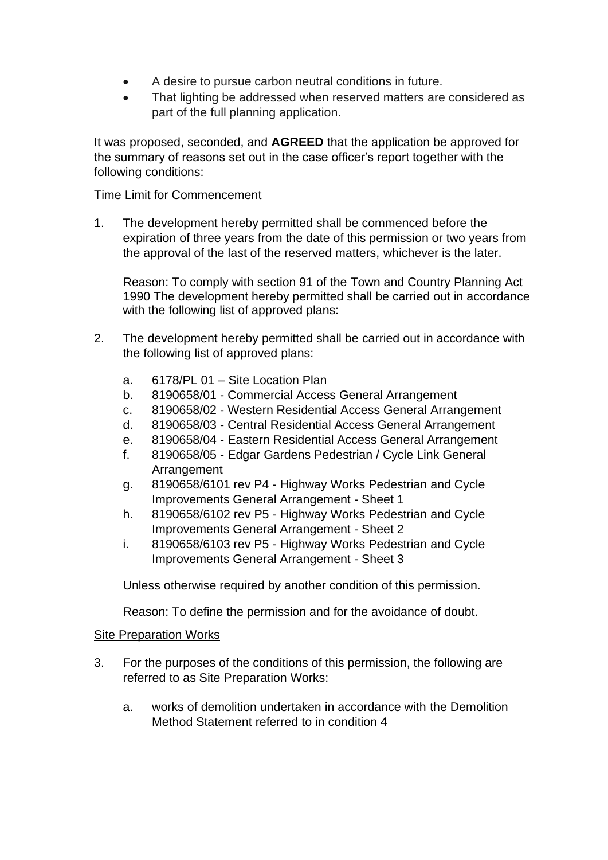- A desire to pursue carbon neutral conditions in future.
- That lighting be addressed when reserved matters are considered as part of the full planning application.

It was proposed, seconded, and **AGREED** that the application be approved for the summary of reasons set out in the case officer's report together with the following conditions:

# Time Limit for Commencement

1. The development hereby permitted shall be commenced before the expiration of three years from the date of this permission or two years from the approval of the last of the reserved matters, whichever is the later.

Reason: To comply with section 91 of the Town and Country Planning Act 1990 The development hereby permitted shall be carried out in accordance with the following list of approved plans:

- 2. The development hereby permitted shall be carried out in accordance with the following list of approved plans:
	- a. 6178/PL 01 Site Location Plan
	- b. 8190658/01 Commercial Access General Arrangement
	- c. 8190658/02 Western Residential Access General Arrangement
	- d. 8190658/03 Central Residential Access General Arrangement
	- e. 8190658/04 Eastern Residential Access General Arrangement
	- f. 8190658/05 Edgar Gardens Pedestrian / Cycle Link General Arrangement
	- g. 8190658/6101 rev P4 Highway Works Pedestrian and Cycle Improvements General Arrangement - Sheet 1
	- h. 8190658/6102 rev P5 Highway Works Pedestrian and Cycle Improvements General Arrangement - Sheet 2
	- i. 8190658/6103 rev P5 Highway Works Pedestrian and Cycle Improvements General Arrangement - Sheet 3

Unless otherwise required by another condition of this permission.

Reason: To define the permission and for the avoidance of doubt.

#### Site Preparation Works

- 3. For the purposes of the conditions of this permission, the following are referred to as Site Preparation Works:
	- a. works of demolition undertaken in accordance with the Demolition Method Statement referred to in condition 4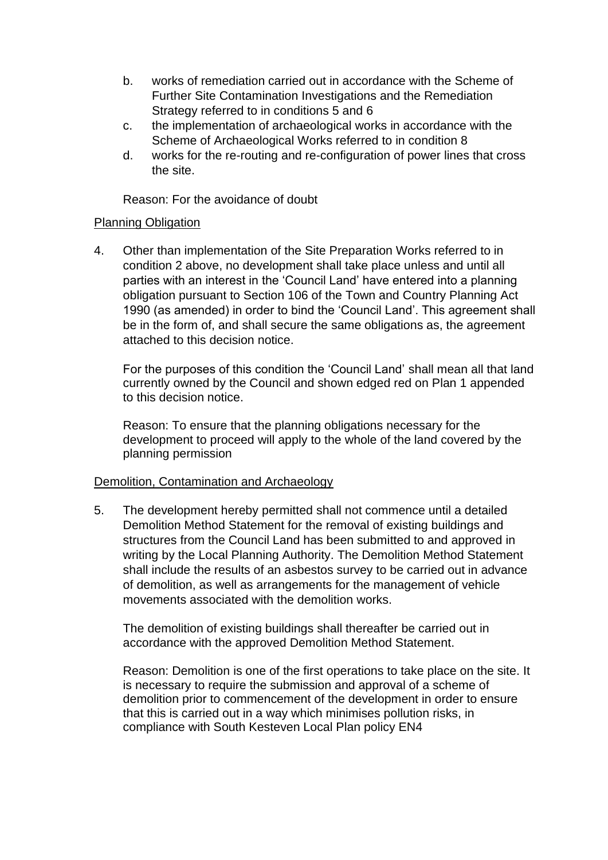- b. works of remediation carried out in accordance with the Scheme of Further Site Contamination Investigations and the Remediation Strategy referred to in conditions 5 and 6
- c. the implementation of archaeological works in accordance with the Scheme of Archaeological Works referred to in condition 8
- d. works for the re-routing and re-configuration of power lines that cross the site.

Reason: For the avoidance of doubt

# Planning Obligation

4. Other than implementation of the Site Preparation Works referred to in condition 2 above, no development shall take place unless and until all parties with an interest in the 'Council Land' have entered into a planning obligation pursuant to Section 106 of the Town and Country Planning Act 1990 (as amended) in order to bind the 'Council Land'. This agreement shall be in the form of, and shall secure the same obligations as, the agreement attached to this decision notice.

For the purposes of this condition the 'Council Land' shall mean all that land currently owned by the Council and shown edged red on Plan 1 appended to this decision notice.

Reason: To ensure that the planning obligations necessary for the development to proceed will apply to the whole of the land covered by the planning permission

# Demolition, Contamination and Archaeology

5. The development hereby permitted shall not commence until a detailed Demolition Method Statement for the removal of existing buildings and structures from the Council Land has been submitted to and approved in writing by the Local Planning Authority. The Demolition Method Statement shall include the results of an asbestos survey to be carried out in advance of demolition, as well as arrangements for the management of vehicle movements associated with the demolition works.

The demolition of existing buildings shall thereafter be carried out in accordance with the approved Demolition Method Statement.

Reason: Demolition is one of the first operations to take place on the site. It is necessary to require the submission and approval of a scheme of demolition prior to commencement of the development in order to ensure that this is carried out in a way which minimises pollution risks, in compliance with South Kesteven Local Plan policy EN4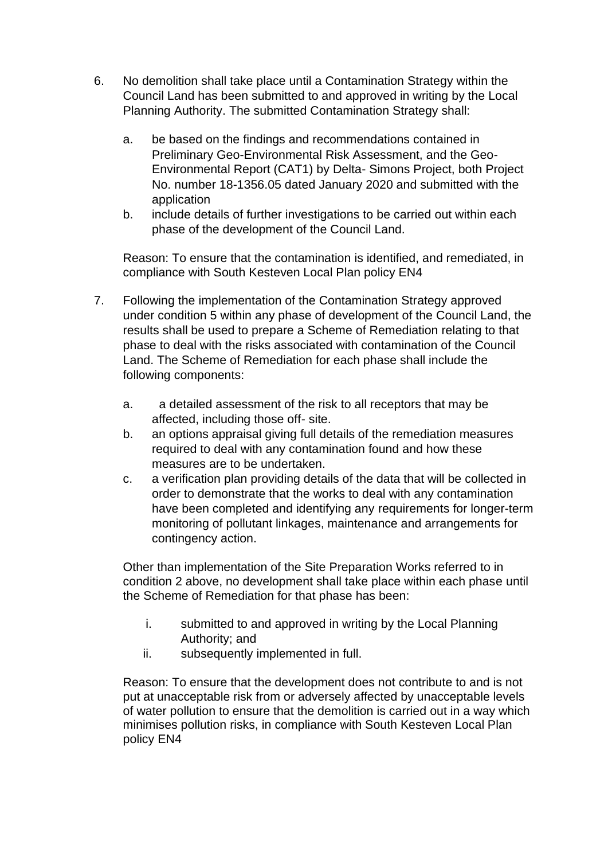- 6. No demolition shall take place until a Contamination Strategy within the Council Land has been submitted to and approved in writing by the Local Planning Authority. The submitted Contamination Strategy shall:
	- a. be based on the findings and recommendations contained in Preliminary Geo-Environmental Risk Assessment, and the Geo-Environmental Report (CAT1) by Delta- Simons Project, both Project No. number 18-1356.05 dated January 2020 and submitted with the application
	- b. include details of further investigations to be carried out within each phase of the development of the Council Land.

Reason: To ensure that the contamination is identified, and remediated, in compliance with South Kesteven Local Plan policy EN4

- 7. Following the implementation of the Contamination Strategy approved under condition 5 within any phase of development of the Council Land, the results shall be used to prepare a Scheme of Remediation relating to that phase to deal with the risks associated with contamination of the Council Land. The Scheme of Remediation for each phase shall include the following components:
	- a. a detailed assessment of the risk to all receptors that may be affected, including those off- site.
	- b. an options appraisal giving full details of the remediation measures required to deal with any contamination found and how these measures are to be undertaken.
	- c. a verification plan providing details of the data that will be collected in order to demonstrate that the works to deal with any contamination have been completed and identifying any requirements for longer-term monitoring of pollutant linkages, maintenance and arrangements for contingency action.

Other than implementation of the Site Preparation Works referred to in condition 2 above, no development shall take place within each phase until the Scheme of Remediation for that phase has been:

- i. submitted to and approved in writing by the Local Planning Authority; and
- ii. subsequently implemented in full.

Reason: To ensure that the development does not contribute to and is not put at unacceptable risk from or adversely affected by unacceptable levels of water pollution to ensure that the demolition is carried out in a way which minimises pollution risks, in compliance with South Kesteven Local Plan policy EN4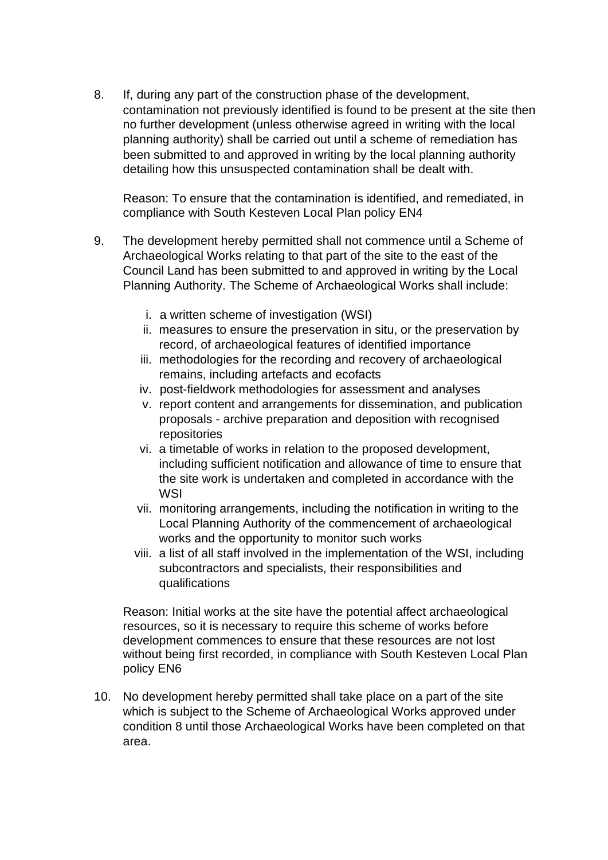8. If, during any part of the construction phase of the development, contamination not previously identified is found to be present at the site then no further development (unless otherwise agreed in writing with the local planning authority) shall be carried out until a scheme of remediation has been submitted to and approved in writing by the local planning authority detailing how this unsuspected contamination shall be dealt with.

Reason: To ensure that the contamination is identified, and remediated, in compliance with South Kesteven Local Plan policy EN4

- 9. The development hereby permitted shall not commence until a Scheme of Archaeological Works relating to that part of the site to the east of the Council Land has been submitted to and approved in writing by the Local Planning Authority. The Scheme of Archaeological Works shall include:
	- i. a written scheme of investigation (WSI)
	- ii. measures to ensure the preservation in situ, or the preservation by record, of archaeological features of identified importance
	- iii. methodologies for the recording and recovery of archaeological remains, including artefacts and ecofacts
	- iv. post-fieldwork methodologies for assessment and analyses
	- v. report content and arrangements for dissemination, and publication proposals - archive preparation and deposition with recognised repositories
	- vi. a timetable of works in relation to the proposed development, including sufficient notification and allowance of time to ensure that the site work is undertaken and completed in accordance with the **WSI**
	- vii. monitoring arrangements, including the notification in writing to the Local Planning Authority of the commencement of archaeological works and the opportunity to monitor such works
	- viii. a list of all staff involved in the implementation of the WSI, including subcontractors and specialists, their responsibilities and qualifications

Reason: Initial works at the site have the potential affect archaeological resources, so it is necessary to require this scheme of works before development commences to ensure that these resources are not lost without being first recorded, in compliance with South Kesteven Local Plan policy EN6

10. No development hereby permitted shall take place on a part of the site which is subject to the Scheme of Archaeological Works approved under condition 8 until those Archaeological Works have been completed on that area.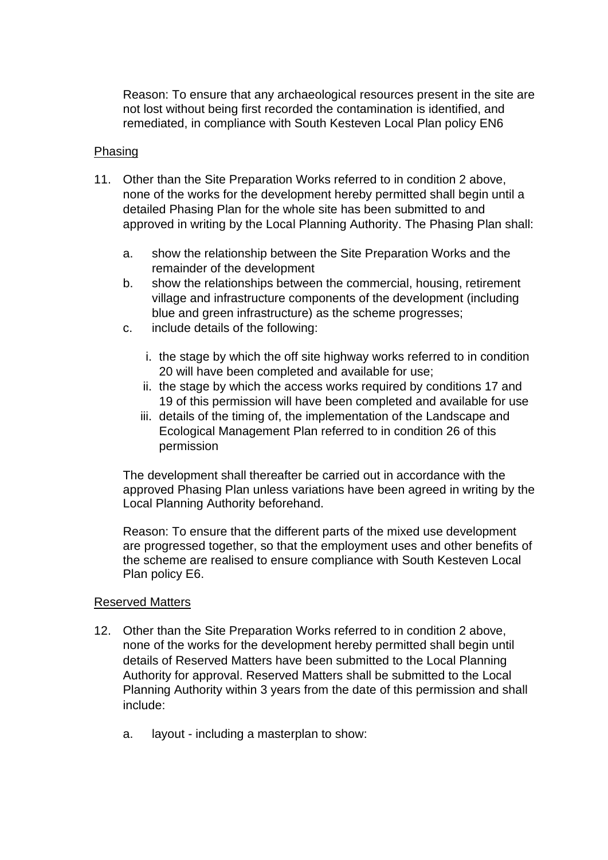Reason: To ensure that any archaeological resources present in the site are not lost without being first recorded the contamination is identified, and remediated, in compliance with South Kesteven Local Plan policy EN6

## Phasing

- 11. Other than the Site Preparation Works referred to in condition 2 above, none of the works for the development hereby permitted shall begin until a detailed Phasing Plan for the whole site has been submitted to and approved in writing by the Local Planning Authority. The Phasing Plan shall:
	- a. show the relationship between the Site Preparation Works and the remainder of the development
	- b. show the relationships between the commercial, housing, retirement village and infrastructure components of the development (including blue and green infrastructure) as the scheme progresses;
	- c. include details of the following:
		- i. the stage by which the off site highway works referred to in condition 20 will have been completed and available for use;
		- ii. the stage by which the access works required by conditions 17 and 19 of this permission will have been completed and available for use
		- iii. details of the timing of, the implementation of the Landscape and Ecological Management Plan referred to in condition 26 of this permission

The development shall thereafter be carried out in accordance with the approved Phasing Plan unless variations have been agreed in writing by the Local Planning Authority beforehand.

Reason: To ensure that the different parts of the mixed use development are progressed together, so that the employment uses and other benefits of the scheme are realised to ensure compliance with South Kesteven Local Plan policy E6.

#### Reserved Matters

- 12. Other than the Site Preparation Works referred to in condition 2 above, none of the works for the development hereby permitted shall begin until details of Reserved Matters have been submitted to the Local Planning Authority for approval. Reserved Matters shall be submitted to the Local Planning Authority within 3 years from the date of this permission and shall include:
	- a. layout including a masterplan to show: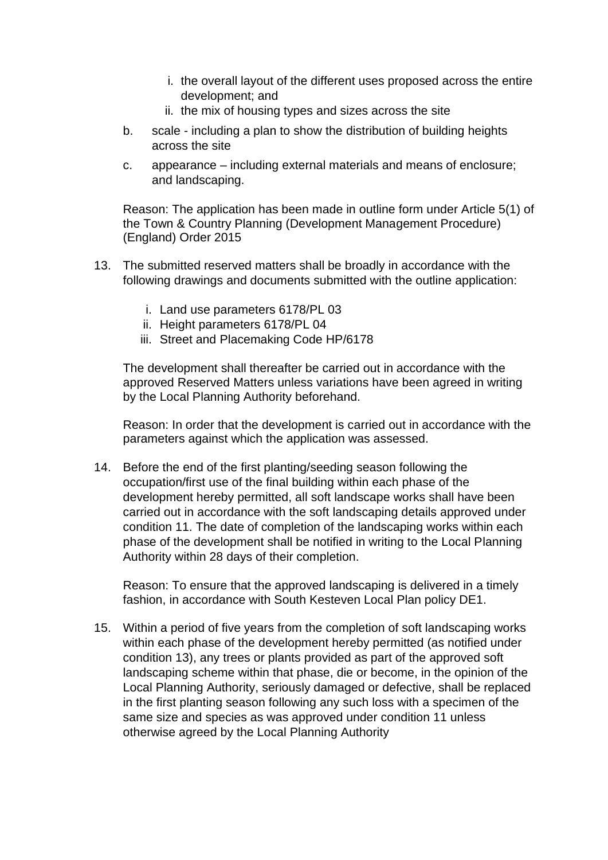- i. the overall layout of the different uses proposed across the entire development; and
- ii. the mix of housing types and sizes across the site
- b. scale including a plan to show the distribution of building heights across the site
- c. appearance including external materials and means of enclosure; and landscaping.

Reason: The application has been made in outline form under Article 5(1) of the Town & Country Planning (Development Management Procedure) (England) Order 2015

- 13. The submitted reserved matters shall be broadly in accordance with the following drawings and documents submitted with the outline application:
	- i. Land use parameters 6178/PL 03
	- ii. Height parameters 6178/PL 04
	- iii. Street and Placemaking Code HP/6178

The development shall thereafter be carried out in accordance with the approved Reserved Matters unless variations have been agreed in writing by the Local Planning Authority beforehand.

Reason: In order that the development is carried out in accordance with the parameters against which the application was assessed.

14. Before the end of the first planting/seeding season following the occupation/first use of the final building within each phase of the development hereby permitted, all soft landscape works shall have been carried out in accordance with the soft landscaping details approved under condition 11. The date of completion of the landscaping works within each phase of the development shall be notified in writing to the Local Planning Authority within 28 days of their completion.

Reason: To ensure that the approved landscaping is delivered in a timely fashion, in accordance with South Kesteven Local Plan policy DE1.

15. Within a period of five years from the completion of soft landscaping works within each phase of the development hereby permitted (as notified under condition 13), any trees or plants provided as part of the approved soft landscaping scheme within that phase, die or become, in the opinion of the Local Planning Authority, seriously damaged or defective, shall be replaced in the first planting season following any such loss with a specimen of the same size and species as was approved under condition 11 unless otherwise agreed by the Local Planning Authority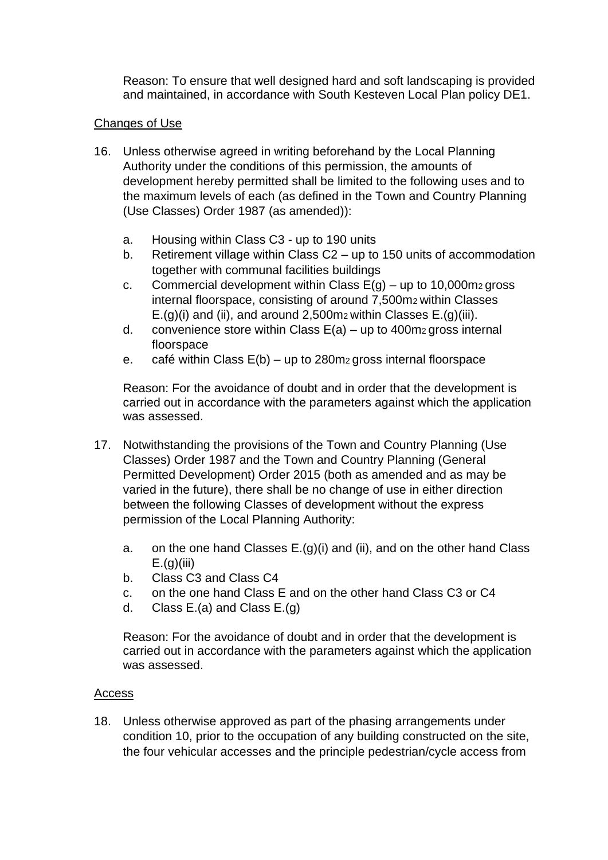Reason: To ensure that well designed hard and soft landscaping is provided and maintained, in accordance with South Kesteven Local Plan policy DE1.

# Changes of Use

- 16. Unless otherwise agreed in writing beforehand by the Local Planning Authority under the conditions of this permission, the amounts of development hereby permitted shall be limited to the following uses and to the maximum levels of each (as defined in the Town and Country Planning (Use Classes) Order 1987 (as amended)):
	- a. Housing within Class C3 up to 190 units
	- b. Retirement village within Class C2 up to 150 units of accommodation together with communal facilities buildings
	- c. Commercial development within Class  $E(g)$  up to 10,000m<sub>2</sub> gross internal floorspace, consisting of around 7,500m2 within Classes  $E.(g)(i)$  and (ii), and around 2,500m<sub>2</sub> within Classes  $E.(g)(iii)$ .
	- d. convenience store within Class  $E(a) up$  to 400m<sub>2</sub> gross internal floorspace
	- e. café within Class  $E(b) up$  to 280m<sub>2</sub> gross internal floorspace

Reason: For the avoidance of doubt and in order that the development is carried out in accordance with the parameters against which the application was assessed.

- 17. Notwithstanding the provisions of the Town and Country Planning (Use Classes) Order 1987 and the Town and Country Planning (General Permitted Development) Order 2015 (both as amended and as may be varied in the future), there shall be no change of use in either direction between the following Classes of development without the express permission of the Local Planning Authority:
	- a. on the one hand Classes  $E.(g)(i)$  and (ii), and on the other hand Class  $E.(q)(iii)$
	- b. Class C3 and Class C4
	- c. on the one hand Class E and on the other hand Class C3 or C4
	- d. Class  $E.(a)$  and Class  $E.(g)$

Reason: For the avoidance of doubt and in order that the development is carried out in accordance with the parameters against which the application was assessed.

# Access

18. Unless otherwise approved as part of the phasing arrangements under condition 10, prior to the occupation of any building constructed on the site, the four vehicular accesses and the principle pedestrian/cycle access from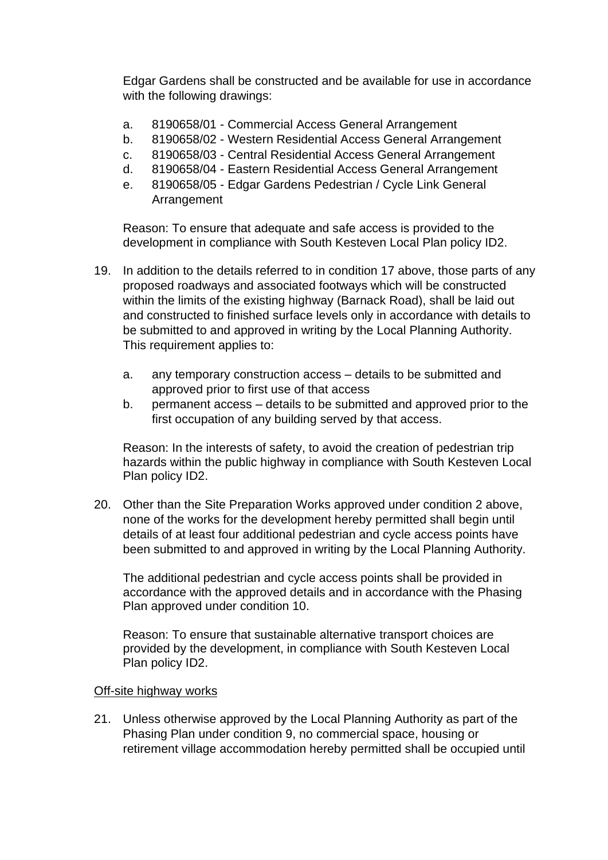Edgar Gardens shall be constructed and be available for use in accordance with the following drawings:

- a. 8190658/01 Commercial Access General Arrangement
- b. 8190658/02 Western Residential Access General Arrangement
- c. 8190658/03 Central Residential Access General Arrangement
- d. 8190658/04 Eastern Residential Access General Arrangement
- e. 8190658/05 Edgar Gardens Pedestrian / Cycle Link General Arrangement

Reason: To ensure that adequate and safe access is provided to the development in compliance with South Kesteven Local Plan policy ID2.

- 19. In addition to the details referred to in condition 17 above, those parts of any proposed roadways and associated footways which will be constructed within the limits of the existing highway (Barnack Road), shall be laid out and constructed to finished surface levels only in accordance with details to be submitted to and approved in writing by the Local Planning Authority. This requirement applies to:
	- a. any temporary construction access details to be submitted and approved prior to first use of that access
	- b. permanent access details to be submitted and approved prior to the first occupation of any building served by that access.

Reason: In the interests of safety, to avoid the creation of pedestrian trip hazards within the public highway in compliance with South Kesteven Local Plan policy ID2.

20. Other than the Site Preparation Works approved under condition 2 above, none of the works for the development hereby permitted shall begin until details of at least four additional pedestrian and cycle access points have been submitted to and approved in writing by the Local Planning Authority.

The additional pedestrian and cycle access points shall be provided in accordance with the approved details and in accordance with the Phasing Plan approved under condition 10.

Reason: To ensure that sustainable alternative transport choices are provided by the development, in compliance with South Kesteven Local Plan policy ID2.

#### Off-site highway works

21. Unless otherwise approved by the Local Planning Authority as part of the Phasing Plan under condition 9, no commercial space, housing or retirement village accommodation hereby permitted shall be occupied until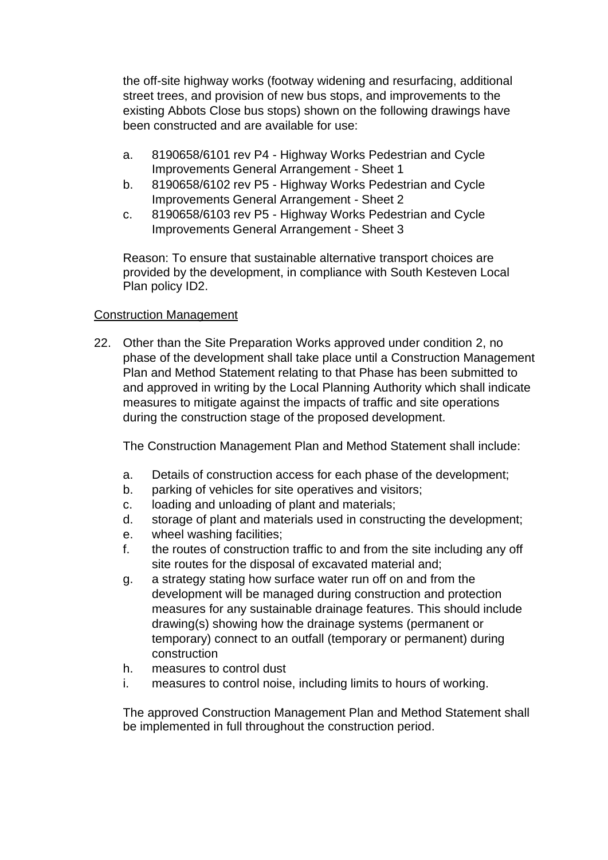the off-site highway works (footway widening and resurfacing, additional street trees, and provision of new bus stops, and improvements to the existing Abbots Close bus stops) shown on the following drawings have been constructed and are available for use:

- a. 8190658/6101 rev P4 Highway Works Pedestrian and Cycle Improvements General Arrangement - Sheet 1
- b. 8190658/6102 rev P5 Highway Works Pedestrian and Cycle Improvements General Arrangement - Sheet 2
- c. 8190658/6103 rev P5 Highway Works Pedestrian and Cycle Improvements General Arrangement - Sheet 3

Reason: To ensure that sustainable alternative transport choices are provided by the development, in compliance with South Kesteven Local Plan policy ID2.

# Construction Management

22. Other than the Site Preparation Works approved under condition 2, no phase of the development shall take place until a Construction Management Plan and Method Statement relating to that Phase has been submitted to and approved in writing by the Local Planning Authority which shall indicate measures to mitigate against the impacts of traffic and site operations during the construction stage of the proposed development.

The Construction Management Plan and Method Statement shall include:

- a. Details of construction access for each phase of the development;
- b. parking of vehicles for site operatives and visitors;
- c. loading and unloading of plant and materials;
- d. storage of plant and materials used in constructing the development;
- e. wheel washing facilities;
- f. the routes of construction traffic to and from the site including any off site routes for the disposal of excavated material and;
- g. a strategy stating how surface water run off on and from the development will be managed during construction and protection measures for any sustainable drainage features. This should include drawing(s) showing how the drainage systems (permanent or temporary) connect to an outfall (temporary or permanent) during construction
- h. measures to control dust
- i. measures to control noise, including limits to hours of working.

The approved Construction Management Plan and Method Statement shall be implemented in full throughout the construction period.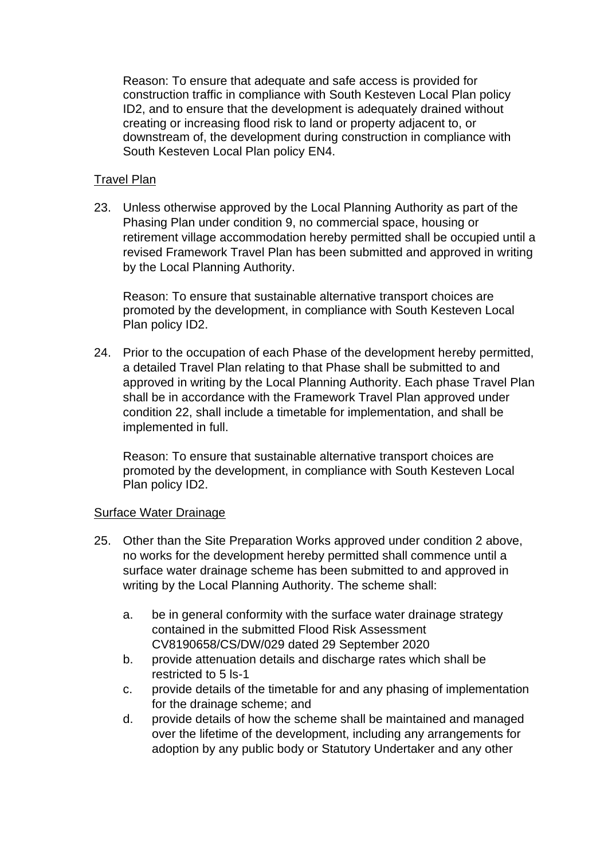Reason: To ensure that adequate and safe access is provided for construction traffic in compliance with South Kesteven Local Plan policy ID2, and to ensure that the development is adequately drained without creating or increasing flood risk to land or property adjacent to, or downstream of, the development during construction in compliance with South Kesteven Local Plan policy EN4.

## **Travel Plan**

23. Unless otherwise approved by the Local Planning Authority as part of the Phasing Plan under condition 9, no commercial space, housing or retirement village accommodation hereby permitted shall be occupied until a revised Framework Travel Plan has been submitted and approved in writing by the Local Planning Authority.

Reason: To ensure that sustainable alternative transport choices are promoted by the development, in compliance with South Kesteven Local Plan policy ID2.

24. Prior to the occupation of each Phase of the development hereby permitted, a detailed Travel Plan relating to that Phase shall be submitted to and approved in writing by the Local Planning Authority. Each phase Travel Plan shall be in accordance with the Framework Travel Plan approved under condition 22, shall include a timetable for implementation, and shall be implemented in full.

Reason: To ensure that sustainable alternative transport choices are promoted by the development, in compliance with South Kesteven Local Plan policy ID2.

#### Surface Water Drainage

- 25. Other than the Site Preparation Works approved under condition 2 above, no works for the development hereby permitted shall commence until a surface water drainage scheme has been submitted to and approved in writing by the Local Planning Authority. The scheme shall:
	- a. be in general conformity with the surface water drainage strategy contained in the submitted Flood Risk Assessment CV8190658/CS/DW/029 dated 29 September 2020
	- b. provide attenuation details and discharge rates which shall be restricted to 5 ls-1
	- c. provide details of the timetable for and any phasing of implementation for the drainage scheme; and
	- d. provide details of how the scheme shall be maintained and managed over the lifetime of the development, including any arrangements for adoption by any public body or Statutory Undertaker and any other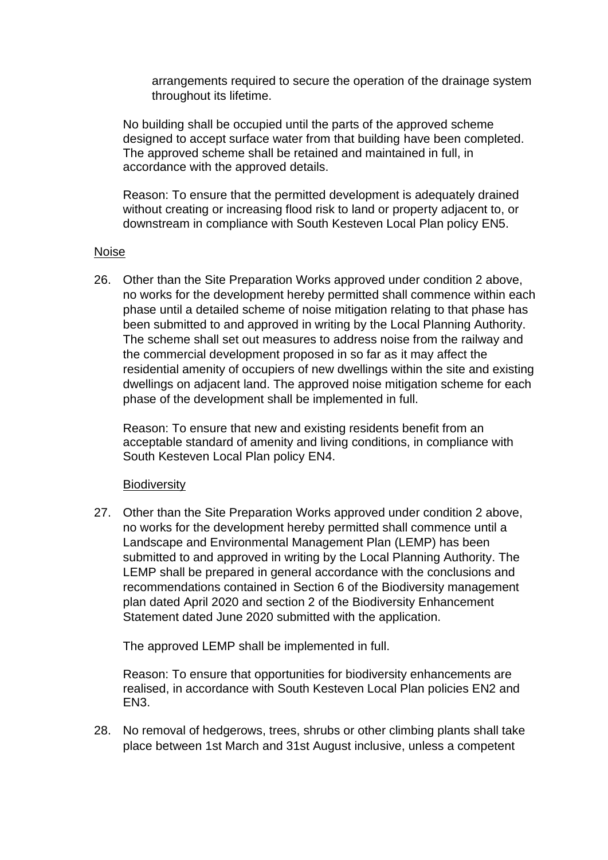arrangements required to secure the operation of the drainage system throughout its lifetime.

No building shall be occupied until the parts of the approved scheme designed to accept surface water from that building have been completed. The approved scheme shall be retained and maintained in full, in accordance with the approved details.

Reason: To ensure that the permitted development is adequately drained without creating or increasing flood risk to land or property adjacent to, or downstream in compliance with South Kesteven Local Plan policy EN5.

#### Noise

26. Other than the Site Preparation Works approved under condition 2 above, no works for the development hereby permitted shall commence within each phase until a detailed scheme of noise mitigation relating to that phase has been submitted to and approved in writing by the Local Planning Authority. The scheme shall set out measures to address noise from the railway and the commercial development proposed in so far as it may affect the residential amenity of occupiers of new dwellings within the site and existing dwellings on adjacent land. The approved noise mitigation scheme for each phase of the development shall be implemented in full.

Reason: To ensure that new and existing residents benefit from an acceptable standard of amenity and living conditions, in compliance with South Kesteven Local Plan policy EN4.

#### **Biodiversity**

27. Other than the Site Preparation Works approved under condition 2 above, no works for the development hereby permitted shall commence until a Landscape and Environmental Management Plan (LEMP) has been submitted to and approved in writing by the Local Planning Authority. The LEMP shall be prepared in general accordance with the conclusions and recommendations contained in Section 6 of the Biodiversity management plan dated April 2020 and section 2 of the Biodiversity Enhancement Statement dated June 2020 submitted with the application.

The approved LEMP shall be implemented in full.

Reason: To ensure that opportunities for biodiversity enhancements are realised, in accordance with South Kesteven Local Plan policies EN2 and EN3.

28. No removal of hedgerows, trees, shrubs or other climbing plants shall take place between 1st March and 31st August inclusive, unless a competent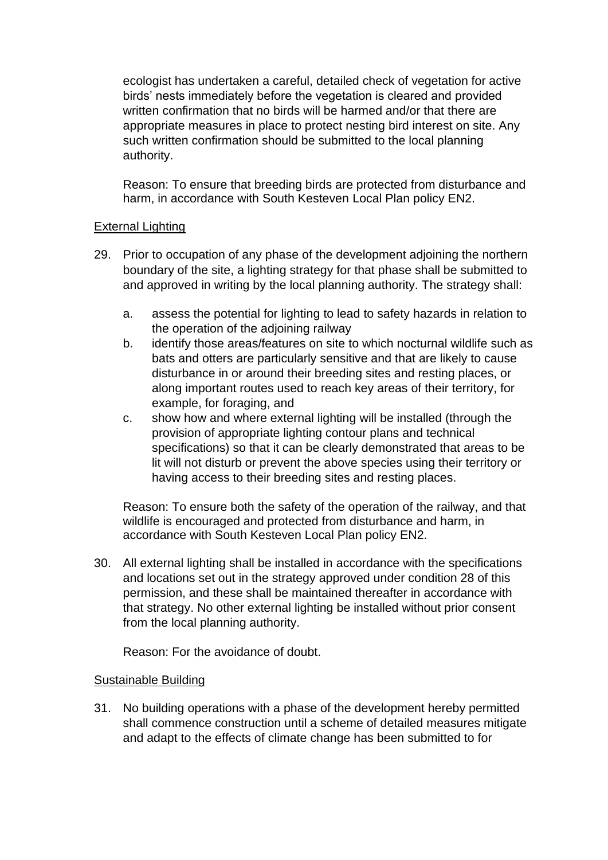ecologist has undertaken a careful, detailed check of vegetation for active birds' nests immediately before the vegetation is cleared and provided written confirmation that no birds will be harmed and/or that there are appropriate measures in place to protect nesting bird interest on site. Any such written confirmation should be submitted to the local planning authority.

Reason: To ensure that breeding birds are protected from disturbance and harm, in accordance with South Kesteven Local Plan policy EN2.

# **External Lighting**

- 29. Prior to occupation of any phase of the development adjoining the northern boundary of the site, a lighting strategy for that phase shall be submitted to and approved in writing by the local planning authority. The strategy shall:
	- a. assess the potential for lighting to lead to safety hazards in relation to the operation of the adjoining railway
	- b. identify those areas/features on site to which nocturnal wildlife such as bats and otters are particularly sensitive and that are likely to cause disturbance in or around their breeding sites and resting places, or along important routes used to reach key areas of their territory, for example, for foraging, and
	- c. show how and where external lighting will be installed (through the provision of appropriate lighting contour plans and technical specifications) so that it can be clearly demonstrated that areas to be lit will not disturb or prevent the above species using their territory or having access to their breeding sites and resting places.

Reason: To ensure both the safety of the operation of the railway, and that wildlife is encouraged and protected from disturbance and harm, in accordance with South Kesteven Local Plan policy EN2.

30. All external lighting shall be installed in accordance with the specifications and locations set out in the strategy approved under condition 28 of this permission, and these shall be maintained thereafter in accordance with that strategy. No other external lighting be installed without prior consent from the local planning authority.

Reason: For the avoidance of doubt.

#### Sustainable Building

31. No building operations with a phase of the development hereby permitted shall commence construction until a scheme of detailed measures mitigate and adapt to the effects of climate change has been submitted to for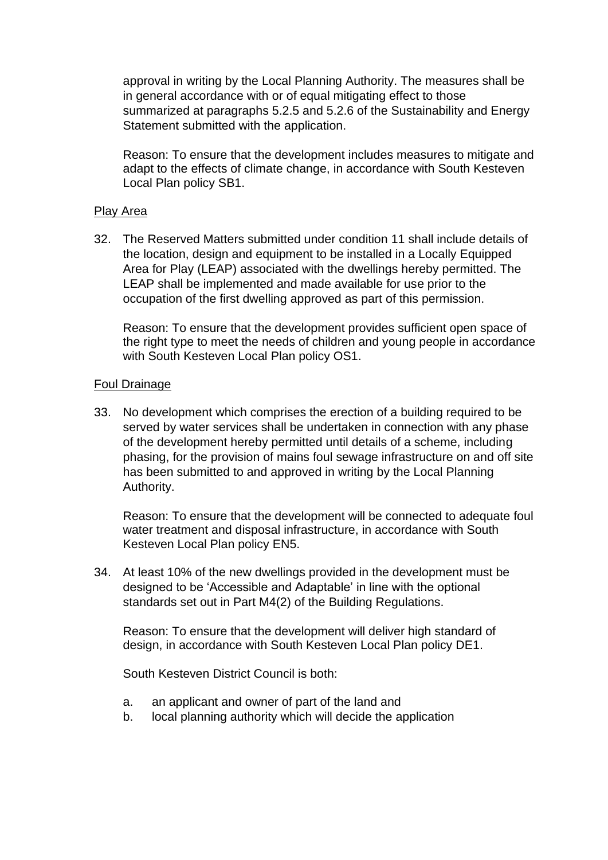approval in writing by the Local Planning Authority. The measures shall be in general accordance with or of equal mitigating effect to those summarized at paragraphs 5.2.5 and 5.2.6 of the Sustainability and Energy Statement submitted with the application.

Reason: To ensure that the development includes measures to mitigate and adapt to the effects of climate change, in accordance with South Kesteven Local Plan policy SB1.

#### Play Area

32. The Reserved Matters submitted under condition 11 shall include details of the location, design and equipment to be installed in a Locally Equipped Area for Play (LEAP) associated with the dwellings hereby permitted. The LEAP shall be implemented and made available for use prior to the occupation of the first dwelling approved as part of this permission.

Reason: To ensure that the development provides sufficient open space of the right type to meet the needs of children and young people in accordance with South Kesteven Local Plan policy OS1.

#### Foul Drainage

33. No development which comprises the erection of a building required to be served by water services shall be undertaken in connection with any phase of the development hereby permitted until details of a scheme, including phasing, for the provision of mains foul sewage infrastructure on and off site has been submitted to and approved in writing by the Local Planning Authority.

Reason: To ensure that the development will be connected to adequate foul water treatment and disposal infrastructure, in accordance with South Kesteven Local Plan policy EN5.

34. At least 10% of the new dwellings provided in the development must be designed to be 'Accessible and Adaptable' in line with the optional standards set out in Part M4(2) of the Building Regulations.

Reason: To ensure that the development will deliver high standard of design, in accordance with South Kesteven Local Plan policy DE1.

South Kesteven District Council is both:

- a. an applicant and owner of part of the land and
- b. local planning authority which will decide the application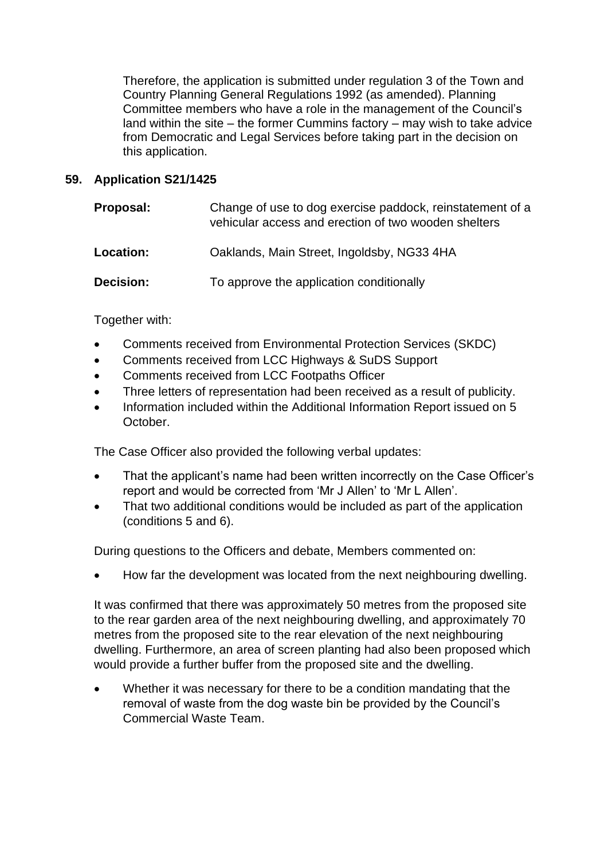Therefore, the application is submitted under regulation 3 of the Town and Country Planning General Regulations 1992 (as amended). Planning Committee members who have a role in the management of the Council's land within the site  $-$  the former Cummins factory  $-$  may wish to take advice from Democratic and Legal Services before taking part in the decision on this application.

## **59. Application S21/1425**

| Proposal: | Change of use to dog exercise paddock, reinstatement of a<br>vehicular access and erection of two wooden shelters |
|-----------|-------------------------------------------------------------------------------------------------------------------|
| Location: | Oaklands, Main Street, Ingoldsby, NG33 4HA                                                                        |
| Decision: | To approve the application conditionally                                                                          |

# Together with:

- Comments received from Environmental Protection Services (SKDC)
- Comments received from LCC Highways & SuDS Support
- Comments received from LCC Footpaths Officer
- Three letters of representation had been received as a result of publicity.
- Information included within the Additional Information Report issued on 5 October.

The Case Officer also provided the following verbal updates:

- That the applicant's name had been written incorrectly on the Case Officer's report and would be corrected from 'Mr J Allen' to 'Mr L Allen'.
- That two additional conditions would be included as part of the application (conditions 5 and 6).

During questions to the Officers and debate, Members commented on:

• How far the development was located from the next neighbouring dwelling.

It was confirmed that there was approximately 50 metres from the proposed site to the rear garden area of the next neighbouring dwelling, and approximately 70 metres from the proposed site to the rear elevation of the next neighbouring dwelling. Furthermore, an area of screen planting had also been proposed which would provide a further buffer from the proposed site and the dwelling.

• Whether it was necessary for there to be a condition mandating that the removal of waste from the dog waste bin be provided by the Council's Commercial Waste Team.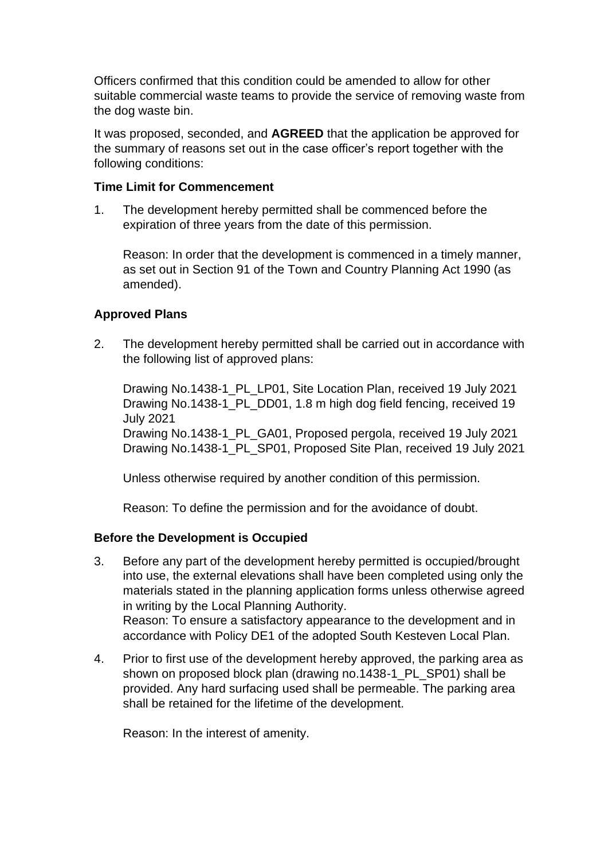Officers confirmed that this condition could be amended to allow for other suitable commercial waste teams to provide the service of removing waste from the dog waste bin.

It was proposed, seconded, and **AGREED** that the application be approved for the summary of reasons set out in the case officer's report together with the following conditions:

#### **Time Limit for Commencement**

1. The development hereby permitted shall be commenced before the expiration of three years from the date of this permission.

Reason: In order that the development is commenced in a timely manner, as set out in Section 91 of the Town and Country Planning Act 1990 (as amended).

# **Approved Plans**

2. The development hereby permitted shall be carried out in accordance with the following list of approved plans:

Drawing No.1438-1\_PL\_LP01, Site Location Plan, received 19 July 2021 Drawing No.1438-1\_PL\_DD01, 1.8 m high dog field fencing, received 19 July 2021

Drawing No.1438-1\_PL\_GA01, Proposed pergola, received 19 July 2021 Drawing No.1438-1\_PL\_SP01, Proposed Site Plan, received 19 July 2021

Unless otherwise required by another condition of this permission.

Reason: To define the permission and for the avoidance of doubt.

#### **Before the Development is Occupied**

- 3. Before any part of the development hereby permitted is occupied/brought into use, the external elevations shall have been completed using only the materials stated in the planning application forms unless otherwise agreed in writing by the Local Planning Authority. Reason: To ensure a satisfactory appearance to the development and in accordance with Policy DE1 of the adopted South Kesteven Local Plan.
- 4. Prior to first use of the development hereby approved, the parking area as shown on proposed block plan (drawing no.1438-1\_PL\_SP01) shall be provided. Any hard surfacing used shall be permeable. The parking area shall be retained for the lifetime of the development.

Reason: In the interest of amenity.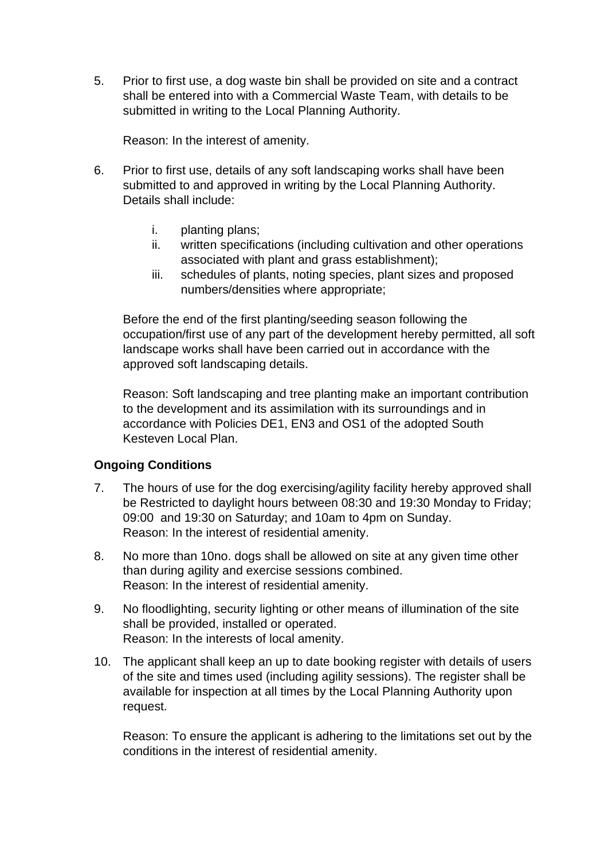5. Prior to first use, a dog waste bin shall be provided on site and a contract shall be entered into with a Commercial Waste Team, with details to be submitted in writing to the Local Planning Authority.

Reason: In the interest of amenity.

- 6. Prior to first use, details of any soft landscaping works shall have been submitted to and approved in writing by the Local Planning Authority. Details shall include:
	- i. planting plans;
	- ii. written specifications (including cultivation and other operations associated with plant and grass establishment);
	- iii. schedules of plants, noting species, plant sizes and proposed numbers/densities where appropriate;

Before the end of the first planting/seeding season following the occupation/first use of any part of the development hereby permitted, all soft landscape works shall have been carried out in accordance with the approved soft landscaping details.

Reason: Soft landscaping and tree planting make an important contribution to the development and its assimilation with its surroundings and in accordance with Policies DE1, EN3 and OS1 of the adopted South Kesteven Local Plan.

#### **Ongoing Conditions**

- 7. The hours of use for the dog exercising/agility facility hereby approved shall be Restricted to daylight hours between 08:30 and 19:30 Monday to Friday; 09:00 and 19:30 on Saturday; and 10am to 4pm on Sunday. Reason: In the interest of residential amenity.
- 8. No more than 10no. dogs shall be allowed on site at any given time other than during agility and exercise sessions combined. Reason: In the interest of residential amenity.
- 9. No floodlighting, security lighting or other means of illumination of the site shall be provided, installed or operated. Reason: In the interests of local amenity.
- 10. The applicant shall keep an up to date booking register with details of users of the site and times used (including agility sessions). The register shall be available for inspection at all times by the Local Planning Authority upon request.

Reason: To ensure the applicant is adhering to the limitations set out by the conditions in the interest of residential amenity.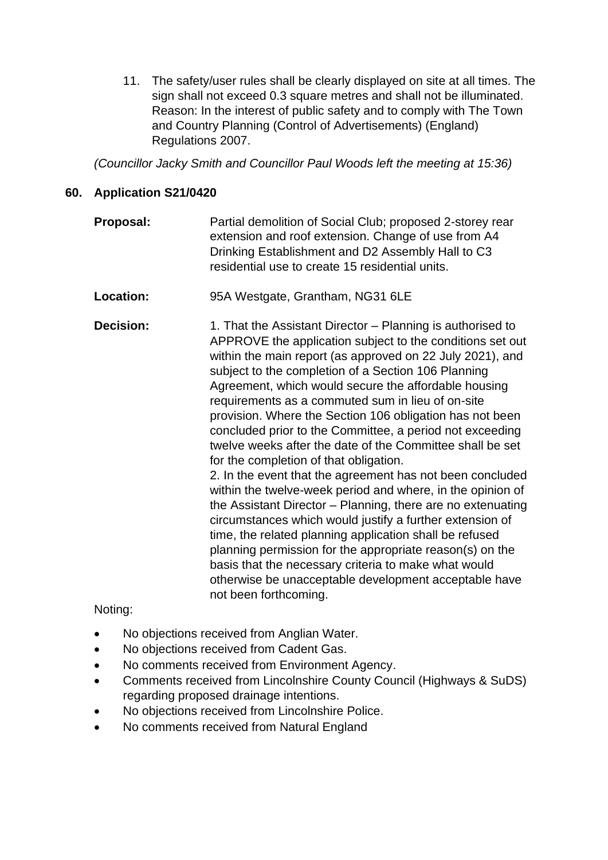11. The safety/user rules shall be clearly displayed on site at all times. The sign shall not exceed 0.3 square metres and shall not be illuminated. Reason: In the interest of public safety and to comply with The Town and Country Planning (Control of Advertisements) (England) Regulations 2007.

*(Councillor Jacky Smith and Councillor Paul Woods left the meeting at 15:36)*

# **60. Application S21/0420**

- **Proposal:** Partial demolition of Social Club; proposed 2-storey rear extension and roof extension. Change of use from A4 Drinking Establishment and D2 Assembly Hall to C3 residential use to create 15 residential units.
- **Location:** 95A Westgate, Grantham, NG31 6LE

**Decision:** 1. That the Assistant Director – Planning is authorised to APPROVE the application subject to the conditions set out within the main report (as approved on 22 July 2021), and subject to the completion of a Section 106 Planning Agreement, which would secure the affordable housing requirements as a commuted sum in lieu of on-site provision. Where the Section 106 obligation has not been concluded prior to the Committee, a period not exceeding twelve weeks after the date of the Committee shall be set for the completion of that obligation. 2. In the event that the agreement has not been concluded within the twelve-week period and where, in the opinion of the Assistant Director – Planning, there are no extenuating circumstances which would justify a further extension of time, the related planning application shall be refused planning permission for the appropriate reason(s) on the

basis that the necessary criteria to make what would

otherwise be unacceptable development acceptable have

Noting:

- No objections received from Anglian Water.
- No objections received from Cadent Gas.
- No comments received from Environment Agency.

not been forthcoming.

- Comments received from Lincolnshire County Council (Highways & SuDS) regarding proposed drainage intentions.
- No objections received from Lincolnshire Police.
- No comments received from Natural England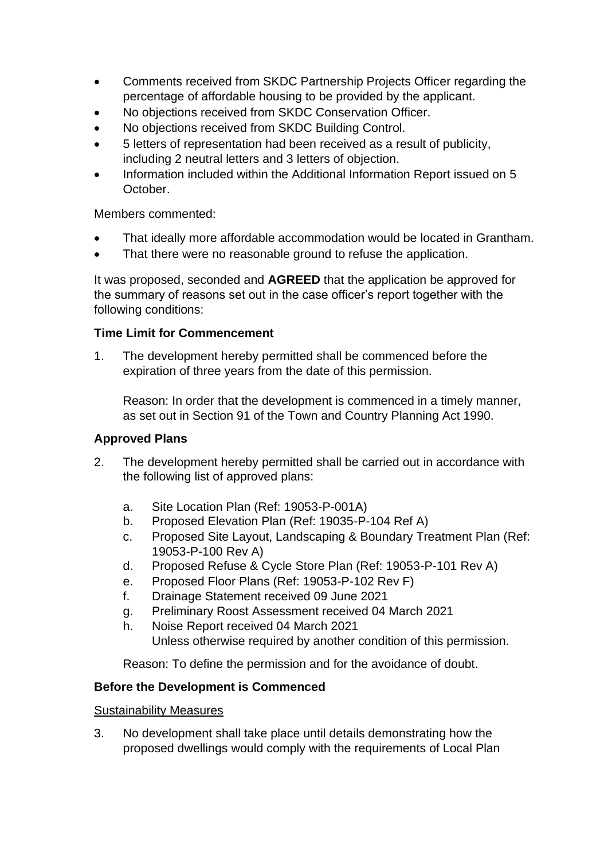- Comments received from SKDC Partnership Projects Officer regarding the percentage of affordable housing to be provided by the applicant.
- No objections received from SKDC Conservation Officer.
- No objections received from SKDC Building Control.
- 5 letters of representation had been received as a result of publicity, including 2 neutral letters and 3 letters of objection.
- Information included within the Additional Information Report issued on 5 October.

Members commented:

- That ideally more affordable accommodation would be located in Grantham.
- That there were no reasonable ground to refuse the application.

It was proposed, seconded and **AGREED** that the application be approved for the summary of reasons set out in the case officer's report together with the following conditions:

# **Time Limit for Commencement**

1. The development hereby permitted shall be commenced before the expiration of three years from the date of this permission.

Reason: In order that the development is commenced in a timely manner, as set out in Section 91 of the Town and Country Planning Act 1990.

#### **Approved Plans**

- 2. The development hereby permitted shall be carried out in accordance with the following list of approved plans:
	- a. Site Location Plan (Ref: 19053-P-001A)
	- b. Proposed Elevation Plan (Ref: 19035-P-104 Ref A)
	- c. Proposed Site Layout, Landscaping & Boundary Treatment Plan (Ref: 19053-P-100 Rev A)
	- d. Proposed Refuse & Cycle Store Plan (Ref: 19053-P-101 Rev A)
	- e. Proposed Floor Plans (Ref: 19053-P-102 Rev F)
	- f. Drainage Statement received 09 June 2021
	- g. Preliminary Roost Assessment received 04 March 2021
	- h. Noise Report received 04 March 2021 Unless otherwise required by another condition of this permission.

Reason: To define the permission and for the avoidance of doubt.

# **Before the Development is Commenced**

#### Sustainability Measures

3. No development shall take place until details demonstrating how the proposed dwellings would comply with the requirements of Local Plan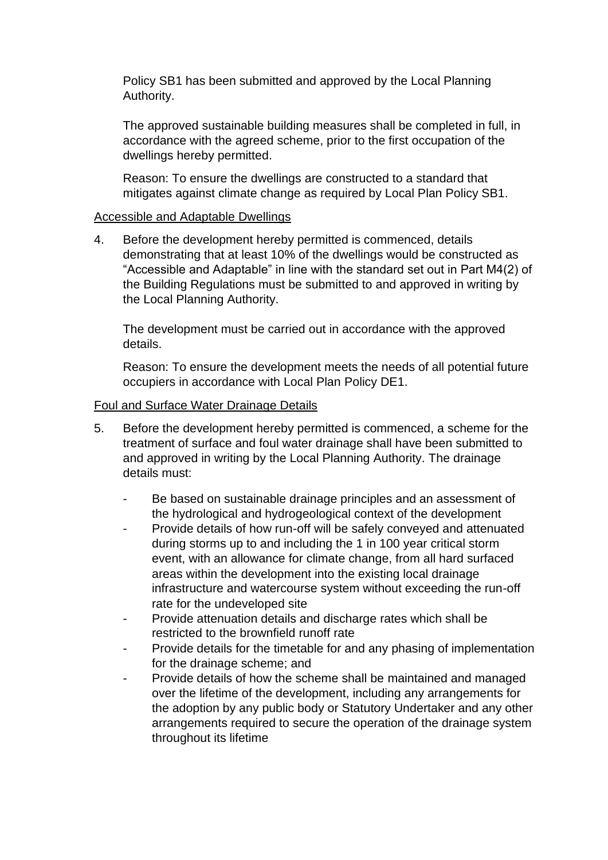Policy SB1 has been submitted and approved by the Local Planning Authority.

The approved sustainable building measures shall be completed in full, in accordance with the agreed scheme, prior to the first occupation of the dwellings hereby permitted.

Reason: To ensure the dwellings are constructed to a standard that mitigates against climate change as required by Local Plan Policy SB1.

#### Accessible and Adaptable Dwellings

4. Before the development hereby permitted is commenced, details demonstrating that at least 10% of the dwellings would be constructed as "Accessible and Adaptable" in line with the standard set out in Part M4(2) of the Building Regulations must be submitted to and approved in writing by the Local Planning Authority.

The development must be carried out in accordance with the approved details.

Reason: To ensure the development meets the needs of all potential future occupiers in accordance with Local Plan Policy DE1.

#### Foul and Surface Water Drainage Details

- 5. Before the development hereby permitted is commenced, a scheme for the treatment of surface and foul water drainage shall have been submitted to and approved in writing by the Local Planning Authority. The drainage details must:
	- Be based on sustainable drainage principles and an assessment of the hydrological and hydrogeological context of the development
	- Provide details of how run-off will be safely conveyed and attenuated during storms up to and including the 1 in 100 year critical storm event, with an allowance for climate change, from all hard surfaced areas within the development into the existing local drainage infrastructure and watercourse system without exceeding the run-off rate for the undeveloped site
	- Provide attenuation details and discharge rates which shall be restricted to the brownfield runoff rate
	- Provide details for the timetable for and any phasing of implementation for the drainage scheme; and
	- Provide details of how the scheme shall be maintained and managed over the lifetime of the development, including any arrangements for the adoption by any public body or Statutory Undertaker and any other arrangements required to secure the operation of the drainage system throughout its lifetime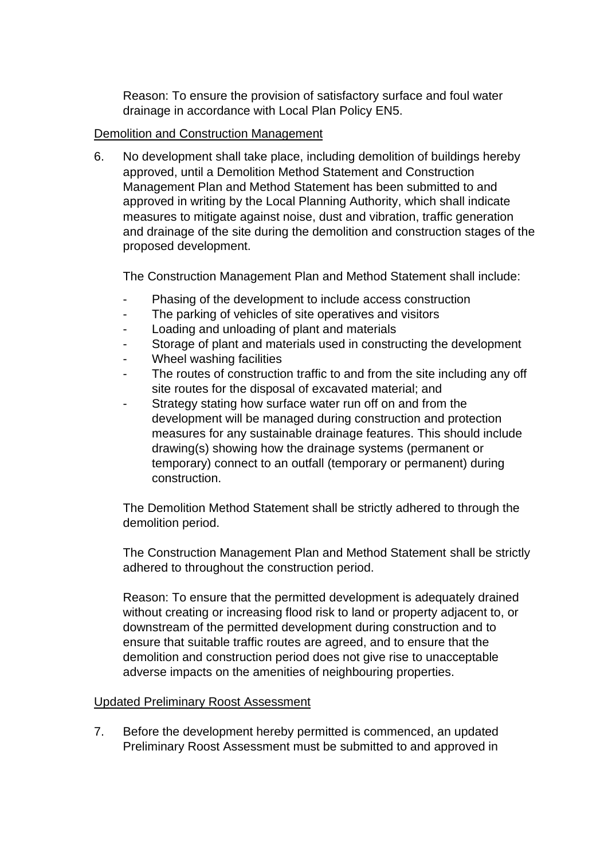Reason: To ensure the provision of satisfactory surface and foul water drainage in accordance with Local Plan Policy EN5.

# Demolition and Construction Management

6. No development shall take place, including demolition of buildings hereby approved, until a Demolition Method Statement and Construction Management Plan and Method Statement has been submitted to and approved in writing by the Local Planning Authority, which shall indicate measures to mitigate against noise, dust and vibration, traffic generation and drainage of the site during the demolition and construction stages of the proposed development.

The Construction Management Plan and Method Statement shall include:

- Phasing of the development to include access construction
- The parking of vehicles of site operatives and visitors
- Loading and unloading of plant and materials
- Storage of plant and materials used in constructing the development
- Wheel washing facilities
- The routes of construction traffic to and from the site including any off site routes for the disposal of excavated material; and
- Strategy stating how surface water run off on and from the development will be managed during construction and protection measures for any sustainable drainage features. This should include drawing(s) showing how the drainage systems (permanent or temporary) connect to an outfall (temporary or permanent) during construction.

The Demolition Method Statement shall be strictly adhered to through the demolition period.

The Construction Management Plan and Method Statement shall be strictly adhered to throughout the construction period.

Reason: To ensure that the permitted development is adequately drained without creating or increasing flood risk to land or property adjacent to, or downstream of the permitted development during construction and to ensure that suitable traffic routes are agreed, and to ensure that the demolition and construction period does not give rise to unacceptable adverse impacts on the amenities of neighbouring properties.

#### Updated Preliminary Roost Assessment

7. Before the development hereby permitted is commenced, an updated Preliminary Roost Assessment must be submitted to and approved in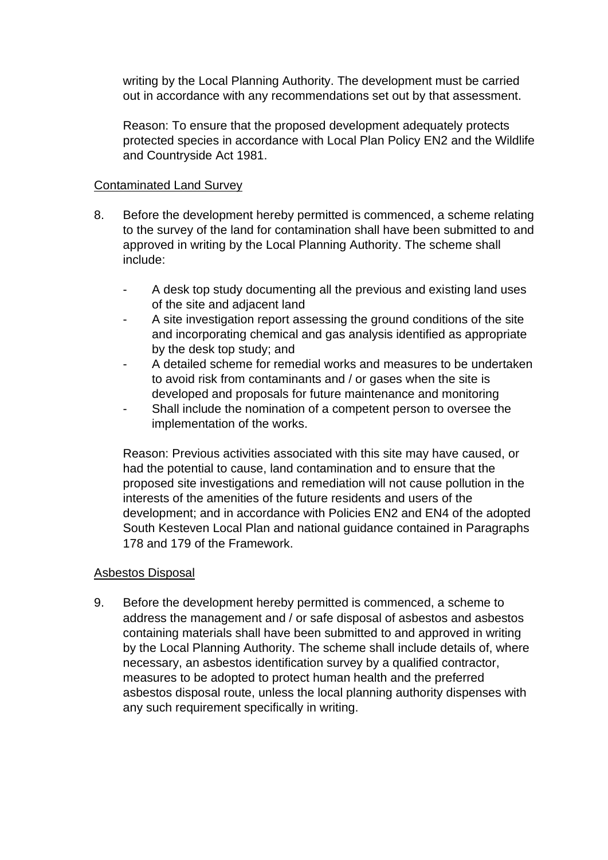writing by the Local Planning Authority. The development must be carried out in accordance with any recommendations set out by that assessment.

Reason: To ensure that the proposed development adequately protects protected species in accordance with Local Plan Policy EN2 and the Wildlife and Countryside Act 1981.

## Contaminated Land Survey

- 8. Before the development hereby permitted is commenced, a scheme relating to the survey of the land for contamination shall have been submitted to and approved in writing by the Local Planning Authority. The scheme shall include:
	- A desk top study documenting all the previous and existing land uses of the site and adjacent land
	- A site investigation report assessing the ground conditions of the site and incorporating chemical and gas analysis identified as appropriate by the desk top study; and
	- A detailed scheme for remedial works and measures to be undertaken to avoid risk from contaminants and / or gases when the site is developed and proposals for future maintenance and monitoring
	- Shall include the nomination of a competent person to oversee the implementation of the works.

Reason: Previous activities associated with this site may have caused, or had the potential to cause, land contamination and to ensure that the proposed site investigations and remediation will not cause pollution in the interests of the amenities of the future residents and users of the development; and in accordance with Policies EN2 and EN4 of the adopted South Kesteven Local Plan and national guidance contained in Paragraphs 178 and 179 of the Framework.

#### Asbestos Disposal

9. Before the development hereby permitted is commenced, a scheme to address the management and / or safe disposal of asbestos and asbestos containing materials shall have been submitted to and approved in writing by the Local Planning Authority. The scheme shall include details of, where necessary, an asbestos identification survey by a qualified contractor, measures to be adopted to protect human health and the preferred asbestos disposal route, unless the local planning authority dispenses with any such requirement specifically in writing.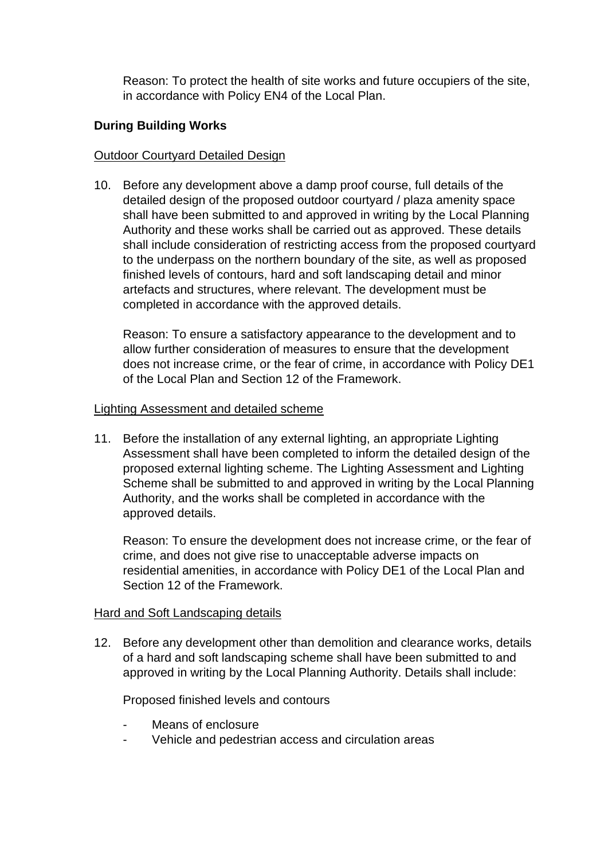Reason: To protect the health of site works and future occupiers of the site, in accordance with Policy EN4 of the Local Plan.

# **During Building Works**

#### Outdoor Courtyard Detailed Design

10. Before any development above a damp proof course, full details of the detailed design of the proposed outdoor courtyard / plaza amenity space shall have been submitted to and approved in writing by the Local Planning Authority and these works shall be carried out as approved. These details shall include consideration of restricting access from the proposed courtyard to the underpass on the northern boundary of the site, as well as proposed finished levels of contours, hard and soft landscaping detail and minor artefacts and structures, where relevant. The development must be completed in accordance with the approved details.

Reason: To ensure a satisfactory appearance to the development and to allow further consideration of measures to ensure that the development does not increase crime, or the fear of crime, in accordance with Policy DE1 of the Local Plan and Section 12 of the Framework.

#### Lighting Assessment and detailed scheme

11. Before the installation of any external lighting, an appropriate Lighting Assessment shall have been completed to inform the detailed design of the proposed external lighting scheme. The Lighting Assessment and Lighting Scheme shall be submitted to and approved in writing by the Local Planning Authority, and the works shall be completed in accordance with the approved details.

Reason: To ensure the development does not increase crime, or the fear of crime, and does not give rise to unacceptable adverse impacts on residential amenities, in accordance with Policy DE1 of the Local Plan and Section 12 of the Framework.

#### Hard and Soft Landscaping details

12. Before any development other than demolition and clearance works, details of a hard and soft landscaping scheme shall have been submitted to and approved in writing by the Local Planning Authority. Details shall include:

Proposed finished levels and contours

- Means of enclosure
- Vehicle and pedestrian access and circulation areas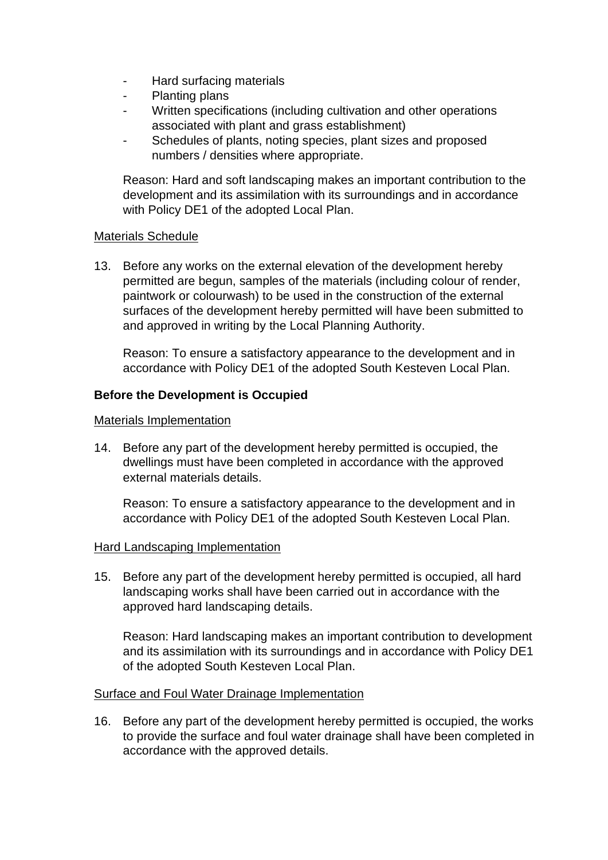- Hard surfacing materials
- Planting plans
- Written specifications (including cultivation and other operations associated with plant and grass establishment)
- Schedules of plants, noting species, plant sizes and proposed numbers / densities where appropriate.

Reason: Hard and soft landscaping makes an important contribution to the development and its assimilation with its surroundings and in accordance with Policy DE1 of the adopted Local Plan.

#### Materials Schedule

13. Before any works on the external elevation of the development hereby permitted are begun, samples of the materials (including colour of render, paintwork or colourwash) to be used in the construction of the external surfaces of the development hereby permitted will have been submitted to and approved in writing by the Local Planning Authority.

Reason: To ensure a satisfactory appearance to the development and in accordance with Policy DE1 of the adopted South Kesteven Local Plan.

# **Before the Development is Occupied**

#### Materials Implementation

14. Before any part of the development hereby permitted is occupied, the dwellings must have been completed in accordance with the approved external materials details.

Reason: To ensure a satisfactory appearance to the development and in accordance with Policy DE1 of the adopted South Kesteven Local Plan.

#### Hard Landscaping Implementation

15. Before any part of the development hereby permitted is occupied, all hard landscaping works shall have been carried out in accordance with the approved hard landscaping details.

Reason: Hard landscaping makes an important contribution to development and its assimilation with its surroundings and in accordance with Policy DE1 of the adopted South Kesteven Local Plan.

#### Surface and Foul Water Drainage Implementation

16. Before any part of the development hereby permitted is occupied, the works to provide the surface and foul water drainage shall have been completed in accordance with the approved details.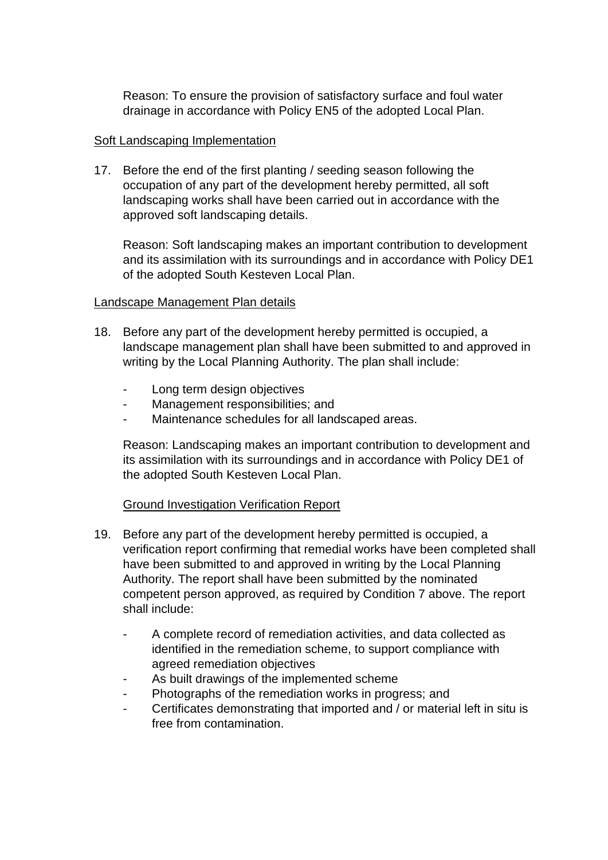Reason: To ensure the provision of satisfactory surface and foul water drainage in accordance with Policy EN5 of the adopted Local Plan.

## Soft Landscaping Implementation

17. Before the end of the first planting / seeding season following the occupation of any part of the development hereby permitted, all soft landscaping works shall have been carried out in accordance with the approved soft landscaping details.

Reason: Soft landscaping makes an important contribution to development and its assimilation with its surroundings and in accordance with Policy DE1 of the adopted South Kesteven Local Plan.

# Landscape Management Plan details

- 18. Before any part of the development hereby permitted is occupied, a landscape management plan shall have been submitted to and approved in writing by the Local Planning Authority. The plan shall include:
	- Long term design objectives
	- Management responsibilities; and
	- Maintenance schedules for all landscaped areas.

Reason: Landscaping makes an important contribution to development and its assimilation with its surroundings and in accordance with Policy DE1 of the adopted South Kesteven Local Plan.

# Ground Investigation Verification Report

- 19. Before any part of the development hereby permitted is occupied, a verification report confirming that remedial works have been completed shall have been submitted to and approved in writing by the Local Planning Authority. The report shall have been submitted by the nominated competent person approved, as required by Condition 7 above. The report shall include:
	- A complete record of remediation activities, and data collected as identified in the remediation scheme, to support compliance with agreed remediation objectives
	- As built drawings of the implemented scheme
	- Photographs of the remediation works in progress; and
	- Certificates demonstrating that imported and / or material left in situ is free from contamination.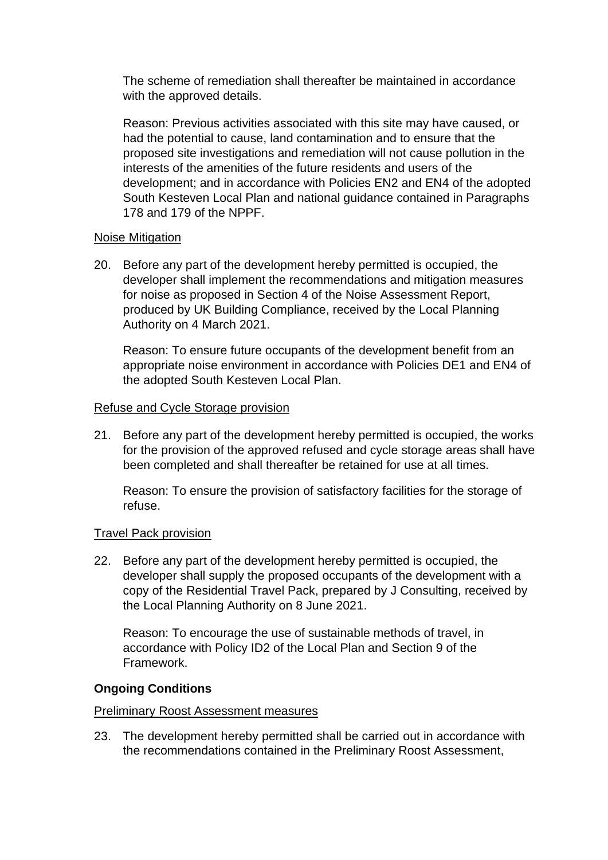The scheme of remediation shall thereafter be maintained in accordance with the approved details.

Reason: Previous activities associated with this site may have caused, or had the potential to cause, land contamination and to ensure that the proposed site investigations and remediation will not cause pollution in the interests of the amenities of the future residents and users of the development; and in accordance with Policies EN2 and EN4 of the adopted South Kesteven Local Plan and national guidance contained in Paragraphs 178 and 179 of the NPPF.

#### Noise Mitigation

20. Before any part of the development hereby permitted is occupied, the developer shall implement the recommendations and mitigation measures for noise as proposed in Section 4 of the Noise Assessment Report, produced by UK Building Compliance, received by the Local Planning Authority on 4 March 2021.

Reason: To ensure future occupants of the development benefit from an appropriate noise environment in accordance with Policies DE1 and EN4 of the adopted South Kesteven Local Plan.

#### Refuse and Cycle Storage provision

21. Before any part of the development hereby permitted is occupied, the works for the provision of the approved refused and cycle storage areas shall have been completed and shall thereafter be retained for use at all times.

Reason: To ensure the provision of satisfactory facilities for the storage of refuse.

#### Travel Pack provision

22. Before any part of the development hereby permitted is occupied, the developer shall supply the proposed occupants of the development with a copy of the Residential Travel Pack, prepared by J Consulting, received by the Local Planning Authority on 8 June 2021.

Reason: To encourage the use of sustainable methods of travel, in accordance with Policy ID2 of the Local Plan and Section 9 of the Framework.

#### **Ongoing Conditions**

#### Preliminary Roost Assessment measures

23. The development hereby permitted shall be carried out in accordance with the recommendations contained in the Preliminary Roost Assessment,